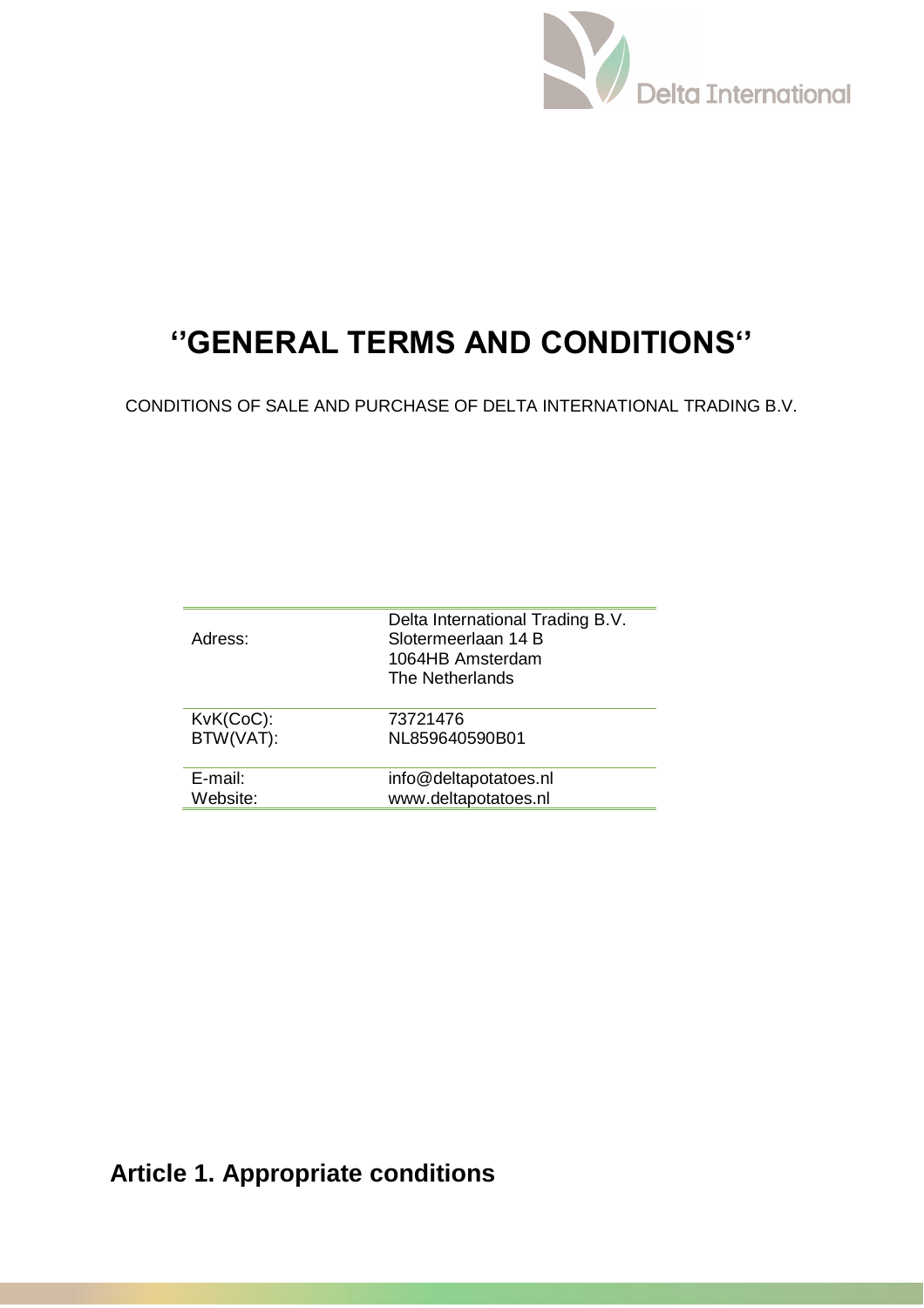

# **''GENERAL TERMS AND CONDITIONS''**

CONDITIONS OF SALE AND PURCHASE OF DELTA INTERNATIONAL TRADING B.V.

| Adress:   | Delta International Trading B.V.<br>Slotermeerlaan 14 B<br>1064HB Amsterdam<br>The Netherlands |
|-----------|------------------------------------------------------------------------------------------------|
| KvK(CoC): | 73721476                                                                                       |
| BTW(VAT): | NL859640590B01                                                                                 |
| E-mail:   | info@deltapotatoes.nl                                                                          |
| Website:  | www.deltapotatoes.nl                                                                           |

# **Article 1. Appropriate conditions**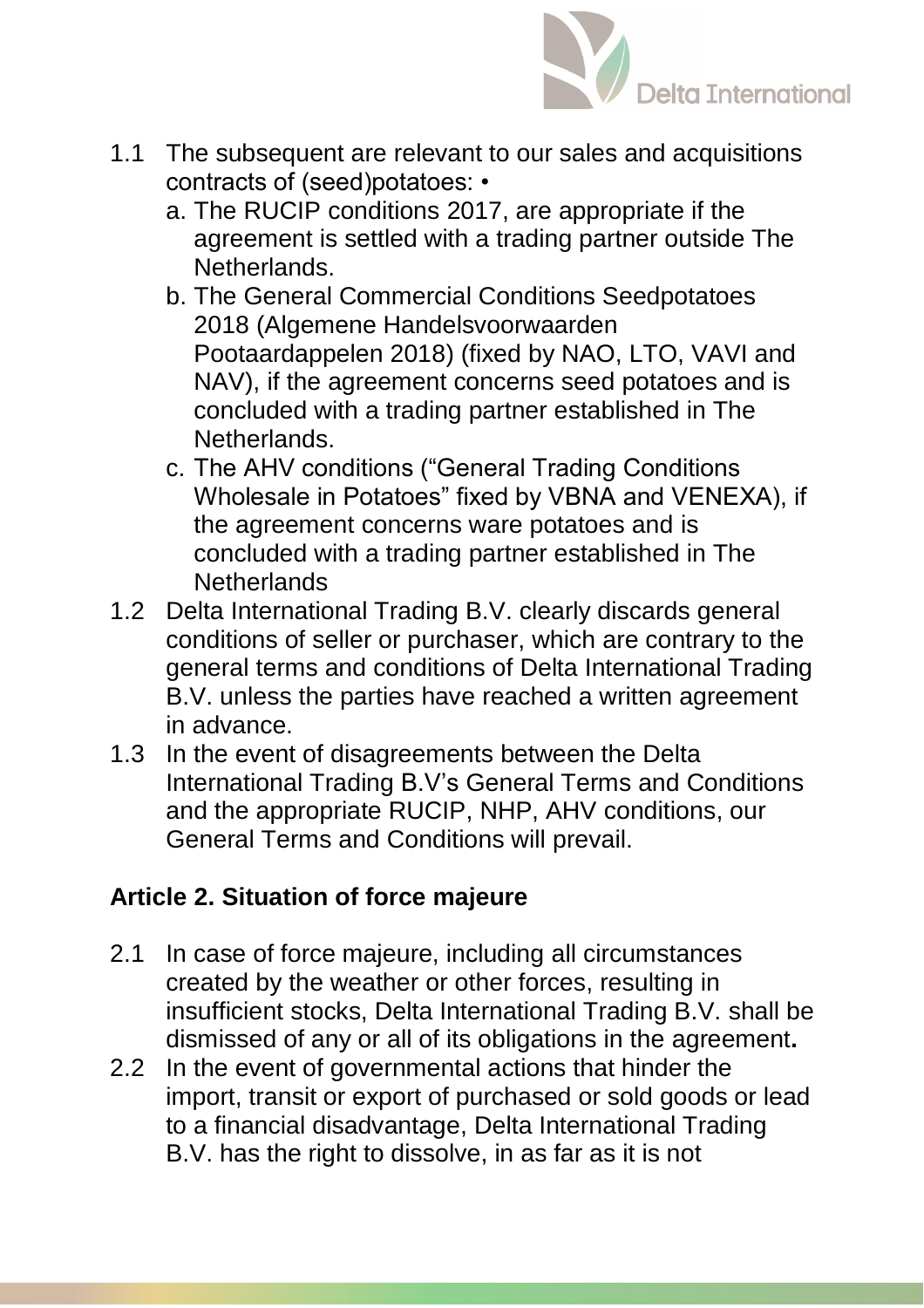

- 1.1 The subsequent are relevant to our sales and acquisitions contracts of (seed)potatoes: •
	- a. The RUCIP conditions 2017, are appropriate if the agreement is settled with a trading partner outside The Netherlands.
	- b. The General Commercial Conditions Seedpotatoes 2018 (Algemene Handelsvoorwaarden Pootaardappelen 2018) (fixed by NAO, LTO, VAVI and NAV), if the agreement concerns seed potatoes and is concluded with a trading partner established in The Netherlands.
	- c. The AHV conditions ("General Trading Conditions Wholesale in Potatoes" fixed by VBNA and VENEXA), if the agreement concerns ware potatoes and is concluded with a trading partner established in The **Netherlands**
- 1.2 Delta International Trading B.V. clearly discards general conditions of seller or purchaser, which are contrary to the general terms and conditions of Delta International Trading B.V. unless the parties have reached a written agreement in advance.
- 1.3 In the event of disagreements between the Delta International Trading B.V's General Terms and Conditions and the appropriate RUCIP, NHP, AHV conditions, our General Terms and Conditions will prevail.

#### **Article 2. Situation of force majeure**

- 2.1 In case of force majeure, including all circumstances created by the weather or other forces, resulting in insufficient stocks, Delta International Trading B.V. shall be dismissed of any or all of its obligations in the agreement**.**
- 2.2 In the event of governmental actions that hinder the import, transit or export of purchased or sold goods or lead to a financial disadvantage, Delta International Trading B.V. has the right to dissolve, in as far as it is not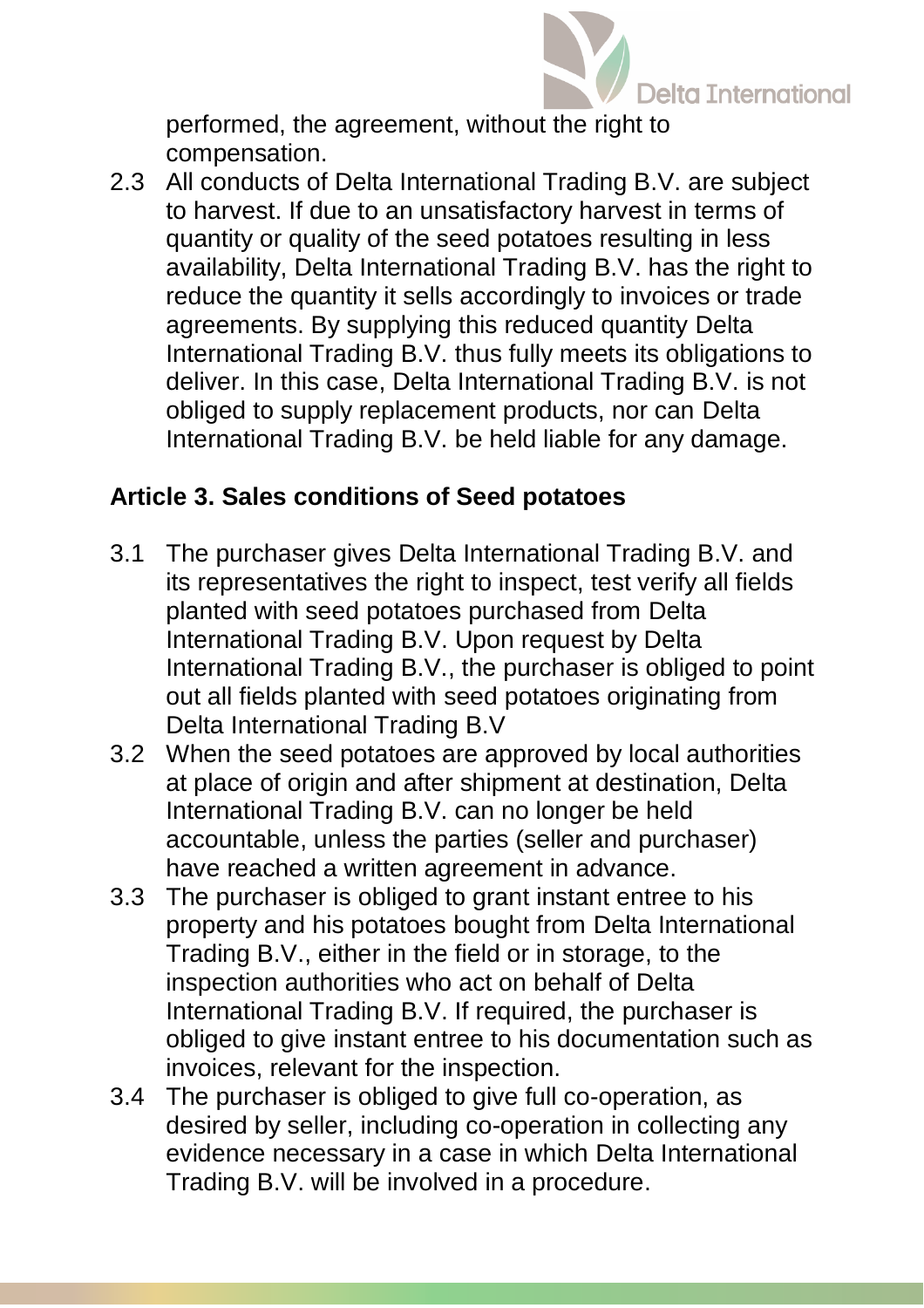

performed, the agreement, without the right to compensation.

2.3 All conducts of Delta International Trading B.V. are subject to harvest. If due to an unsatisfactory harvest in terms of quantity or quality of the seed potatoes resulting in less availability, Delta International Trading B.V. has the right to reduce the quantity it sells accordingly to invoices or trade agreements. By supplying this reduced quantity Delta International Trading B.V. thus fully meets its obligations to deliver. In this case, Delta International Trading B.V. is not obliged to supply replacement products, nor can Delta International Trading B.V. be held liable for any damage.

## **Article 3. Sales conditions of Seed potatoes**

- 3.1 The purchaser gives Delta International Trading B.V. and its representatives the right to inspect, test verify all fields planted with seed potatoes purchased from Delta International Trading B.V. Upon request by Delta International Trading B.V., the purchaser is obliged to point out all fields planted with seed potatoes originating from Delta International Trading B.V
- 3.2 When the seed potatoes are approved by local authorities at place of origin and after shipment at destination, Delta International Trading B.V. can no longer be held accountable, unless the parties (seller and purchaser) have reached a written agreement in advance.
- 3.3 The purchaser is obliged to grant instant entree to his property and his potatoes bought from Delta International Trading B.V., either in the field or in storage, to the inspection authorities who act on behalf of Delta International Trading B.V. If required, the purchaser is obliged to give instant entree to his documentation such as invoices, relevant for the inspection.
- 3.4 The purchaser is obliged to give full co-operation, as desired by seller, including co-operation in collecting any evidence necessary in a case in which Delta International Trading B.V. will be involved in a procedure.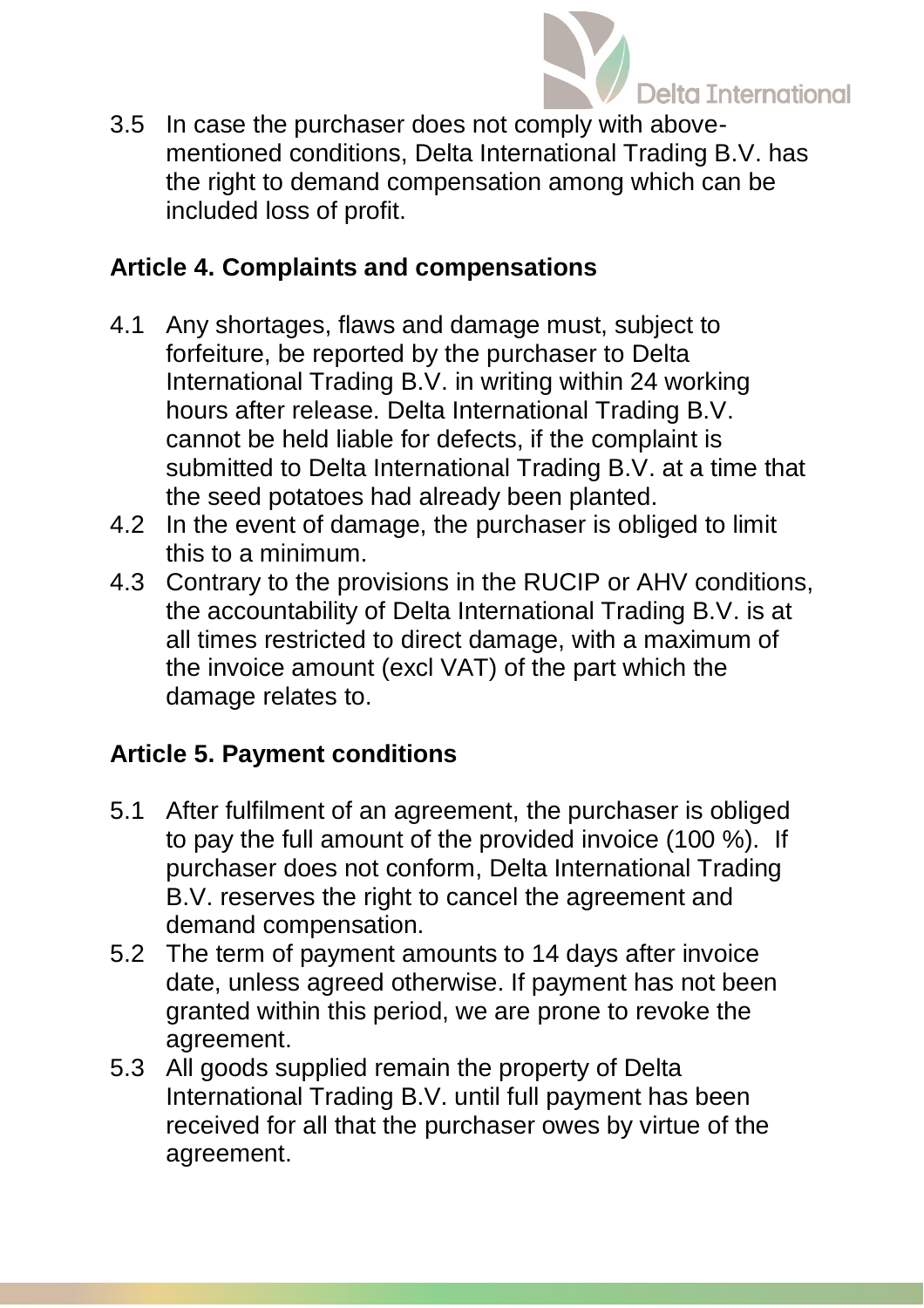

3.5 In case the purchaser does not comply with abovementioned conditions, Delta International Trading B.V. has the right to demand compensation among which can be included loss of profit.

#### **Article 4. Complaints and compensations**

- 4.1 Any shortages, flaws and damage must, subject to forfeiture, be reported by the purchaser to Delta International Trading B.V. in writing within 24 working hours after release. Delta International Trading B.V. cannot be held liable for defects, if the complaint is submitted to Delta International Trading B.V. at a time that the seed potatoes had already been planted.
- 4.2 In the event of damage, the purchaser is obliged to limit this to a minimum.
- 4.3 Contrary to the provisions in the RUCIP or AHV conditions, the accountability of Delta International Trading B.V. is at all times restricted to direct damage, with a maximum of the invoice amount (excl VAT) of the part which the damage relates to.

## **Article 5. Payment conditions**

- 5.1 After fulfilment of an agreement, the purchaser is obliged to pay the full amount of the provided invoice (100 %). If purchaser does not conform, Delta International Trading B.V. reserves the right to cancel the agreement and demand compensation.
- 5.2 The term of payment amounts to 14 days after invoice date, unless agreed otherwise. If payment has not been granted within this period, we are prone to revoke the agreement.
- 5.3 All goods supplied remain the property of Delta International Trading B.V. until full payment has been received for all that the purchaser owes by virtue of the agreement.